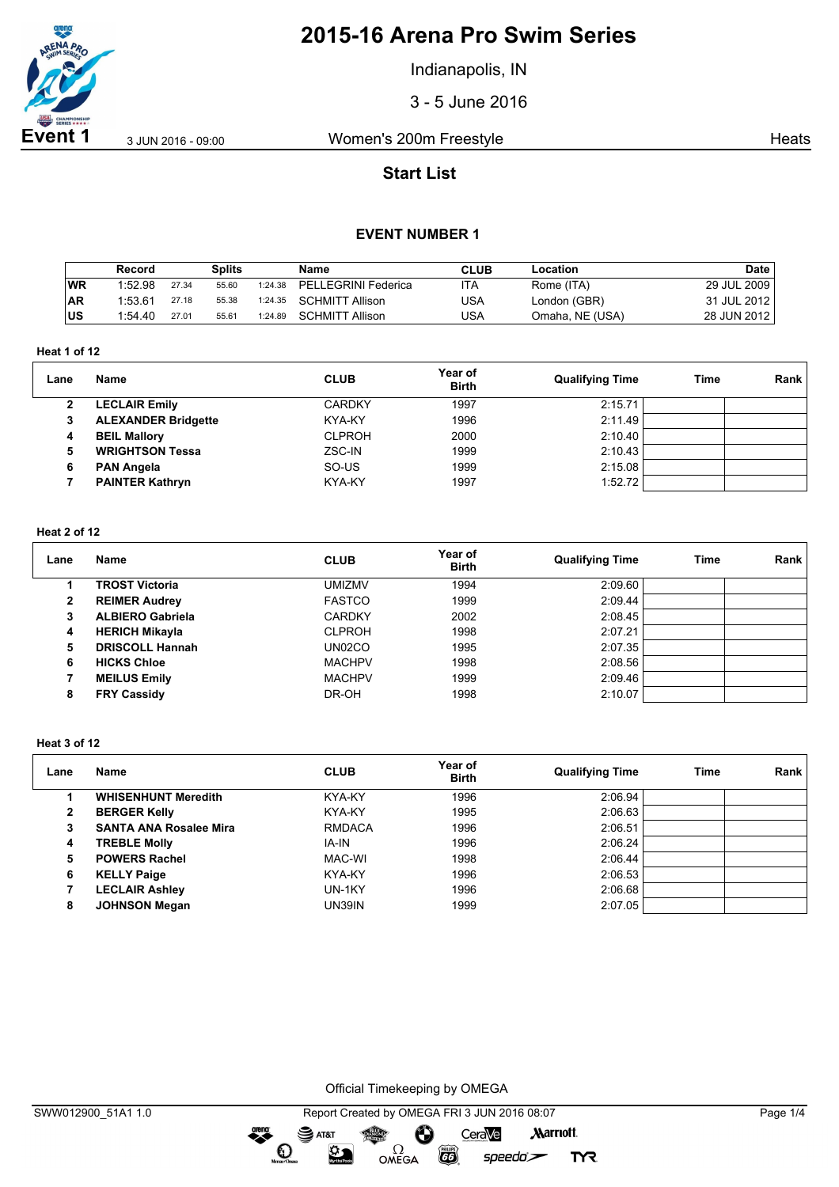

Indianapolis, IN

3 - 5 June 2016

**Event 1** 3 JUN 2016 - 09:00 Women's 200m Freestyle **State Agency** Heats

## **Start List**

## **EVENT NUMBER 1**

|           | Record  |       | <b>Splits</b> |         | Name                | <b>CLUB</b> | Location        | Date          |
|-----------|---------|-------|---------------|---------|---------------------|-------------|-----------------|---------------|
| WR        | 1:52.98 | 27.34 | 55.60         | 1:24.38 | PELLEGRINI Federica | <b>ITA</b>  | Rome (ITA)      | 29 JUL 2009   |
| <b>AR</b> | 1:53.61 | 27.18 | 55.38         | 1:24.35 | SCHMITT Allison     | USA         | London (GBR)    | 31 JUL 2012 i |
| US        | 1:54.40 | 27.01 | 55.61         | 1:24.89 | SCHMITT Allison     | USA         | Omaha, NE (USA) | 28 JUN 2012   |

**Heat 1 of 12**

| Lane | Name                       | <b>CLUB</b>   | Year of<br><b>Birth</b> | <b>Qualifying Time</b> | Time | Rank |
|------|----------------------------|---------------|-------------------------|------------------------|------|------|
| 2    | <b>LECLAIR Emily</b>       | <b>CARDKY</b> | 1997                    | 2:15.71                |      |      |
| 3    | <b>ALEXANDER Bridgette</b> | KYA-KY        | 1996                    | 2:11.49                |      |      |
| 4    | <b>BEIL Mallory</b>        | <b>CLPROH</b> | 2000                    | 2:10.40                |      |      |
| 5    | <b>WRIGHTSON Tessa</b>     | ZSC-IN        | 1999                    | 2:10.43                |      |      |
| 6    | <b>PAN Angela</b>          | SO-US         | 1999                    | 2:15.08                |      |      |
|      | <b>PAINTER Kathryn</b>     | KYA-KY        | 1997                    | 1:52.72                |      |      |

### **Heat 2 of 12**

| Lane | Name                    | <b>CLUB</b>   | Year of<br><b>Birth</b> | <b>Qualifying Time</b> | Time | Rank |
|------|-------------------------|---------------|-------------------------|------------------------|------|------|
|      | <b>TROST Victoria</b>   | umizmv        | 1994                    | 2:09.60                |      |      |
| 2    | <b>REIMER Audrey</b>    | <b>FASTCO</b> | 1999                    | 2:09.44                |      |      |
| 3    | <b>ALBIERO Gabriela</b> | <b>CARDKY</b> | 2002                    | 2:08.45                |      |      |
| 4    | <b>HERICH Mikayla</b>   | <b>CLPROH</b> | 1998                    | 2:07.21                |      |      |
| 5    | <b>DRISCOLL Hannah</b>  | UN02CO        | 1995                    | 2:07.35                |      |      |
| 6    | <b>HICKS Chloe</b>      | <b>MACHPV</b> | 1998                    | 2:08.56                |      |      |
|      | <b>MEILUS Emily</b>     | <b>MACHPV</b> | 1999                    | 2:09.46                |      |      |
| 8    | <b>FRY Cassidy</b>      | DR-OH         | 1998                    | 2:10.07                |      |      |

#### **Heat 3 of 12**

| Lane | Name                          | <b>CLUB</b>   | Year of<br><b>Birth</b> | <b>Qualifying Time</b> | Time | Rank |
|------|-------------------------------|---------------|-------------------------|------------------------|------|------|
|      | <b>WHISENHUNT Meredith</b>    | KYA-KY        | 1996                    | 2:06.94                |      |      |
| 2    | <b>BERGER Kelly</b>           | KYA-KY        | 1995                    | 2:06.63                |      |      |
| 3    | <b>SANTA ANA Rosalee Mira</b> | <b>RMDACA</b> | 1996                    | 2:06.51                |      |      |
| 4    | <b>TREBLE Molly</b>           | IA-IN         | 1996                    | 2:06.24                |      |      |
| 5    | <b>POWERS Rachel</b>          | MAC-WI        | 1998                    | 2:06.44                |      |      |
| 6    | <b>KELLY Paige</b>            | KYA-KY        | 1996                    | 2:06.53                |      |      |
|      | <b>LECLAIR Ashley</b>         | UN-1KY        | 1996                    | 2:06.68                |      |      |
| 8    | <b>JOHNSON Megan</b>          | UN39IN        | 1999                    | 2:07.05                |      |      |

Official Timekeeping by OMEGA

 $rac{\text{mean}}{\text{mean}}$ 

 $\mathbf{O}$ 

**System** 

speedo`<del>∠</del>

**TYR** 

OMEGA<sup></sup>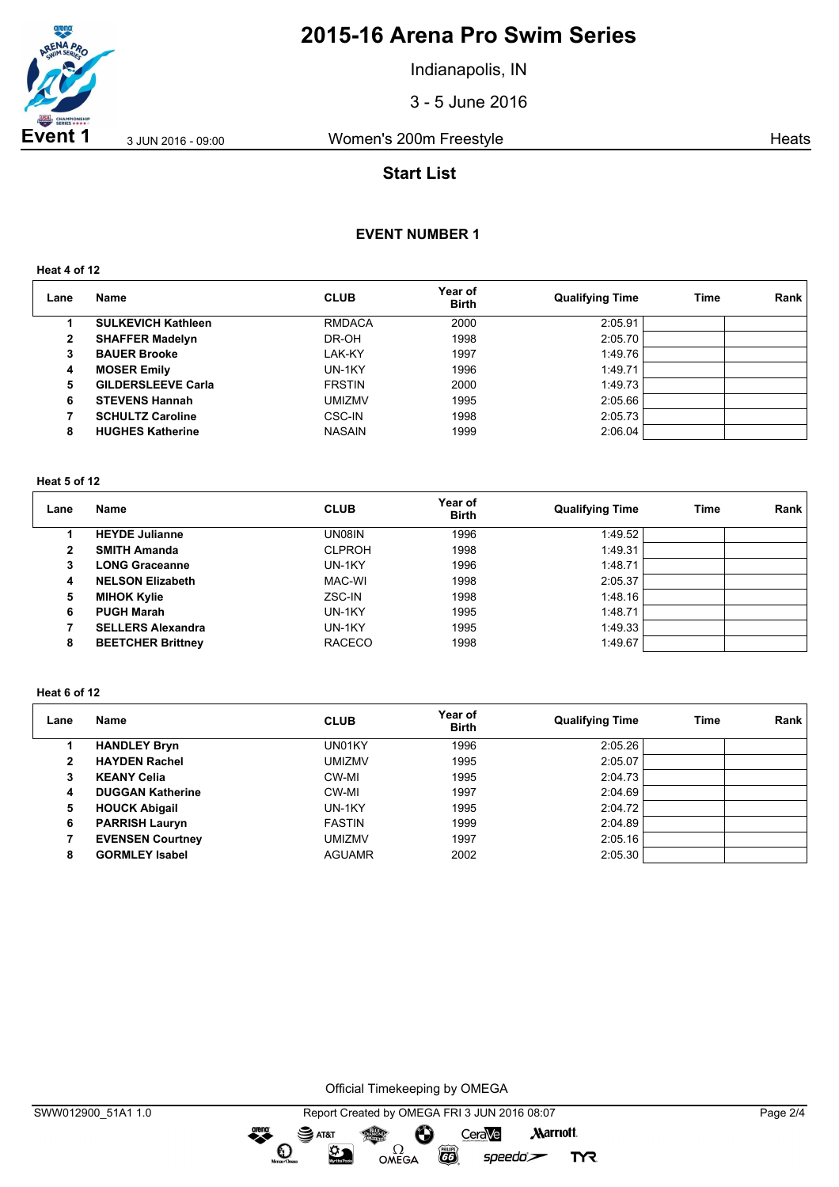

Indianapolis, IN

3 - 5 June 2016

**Event 1** 3 JUN 2016 - 09:00 Women's 200m Freestyle **State Agency** Heats

## **Start List**

## **EVENT NUMBER 1**

**Heat 4 of 12**

| Lane | <b>Name</b>               | <b>CLUB</b>   | Year of<br><b>Birth</b> | <b>Qualifying Time</b> | Time | Rank |
|------|---------------------------|---------------|-------------------------|------------------------|------|------|
|      | <b>SULKEVICH Kathleen</b> | <b>RMDACA</b> | 2000                    | 2:05.91                |      |      |
| 2    | <b>SHAFFER Madelyn</b>    | DR-OH         | 1998                    | 2:05.70                |      |      |
| 3    | <b>BAUER Brooke</b>       | LAK-KY        | 1997                    | 1:49.76                |      |      |
| 4    | <b>MOSER Emily</b>        | UN-1KY        | 1996                    | 1:49.71                |      |      |
| 5    | <b>GILDERSLEEVE Carla</b> | <b>FRSTIN</b> | 2000                    | 1:49.73                |      |      |
| 6    | <b>STEVENS Hannah</b>     | UMIZMV        | 1995                    | 2:05.66                |      |      |
|      | <b>SCHULTZ Caroline</b>   | CSC-IN        | 1998                    | 2:05.73                |      |      |
| 8    | <b>HUGHES Katherine</b>   | <b>NASAIN</b> | 1999                    | 2:06.04                |      |      |

#### **Heat 5 of 12**

| Lane | Name                     | <b>CLUB</b>   | Year of<br><b>Birth</b> | <b>Qualifying Time</b> | Time | Rank |
|------|--------------------------|---------------|-------------------------|------------------------|------|------|
|      | <b>HEYDE Julianne</b>    | UN08IN        | 1996                    | 1:49.52                |      |      |
| 2    | <b>SMITH Amanda</b>      | <b>CLPROH</b> | 1998                    | 1:49.31                |      |      |
| 3    | <b>LONG Graceanne</b>    | UN-1KY        | 1996                    | 1:48.71                |      |      |
| 4    | <b>NELSON Elizabeth</b>  | MAC-WI        | 1998                    | 2:05.37                |      |      |
| 5    | <b>MIHOK Kylie</b>       | ZSC-IN        | 1998                    | 1:48.16                |      |      |
| 6    | <b>PUGH Marah</b>        | UN-1KY        | 1995                    | 1:48.71                |      |      |
|      | <b>SELLERS Alexandra</b> | UN-1KY        | 1995                    | 1:49.33                |      |      |
| 8    | <b>BEETCHER Brittney</b> | <b>RACECO</b> | 1998                    | 1:49.67                |      |      |

### **Heat 6 of 12**

| Lane           | Name                    | <b>CLUB</b>   | Year of<br><b>Birth</b> | <b>Qualifying Time</b> | Time | Rank |
|----------------|-------------------------|---------------|-------------------------|------------------------|------|------|
|                | <b>HANDLEY Bryn</b>     | UN01KY        | 1996                    | 2:05.26                |      |      |
| $\overline{2}$ | <b>HAYDEN Rachel</b>    | <b>UMIZMV</b> | 1995                    | 2:05.07                |      |      |
| 3              | <b>KEANY Celia</b>      | CW-MI         | 1995                    | 2:04.73                |      |      |
| 4              | <b>DUGGAN Katherine</b> | CW-MI         | 1997                    | 2:04.69                |      |      |
| 5              | <b>HOUCK Abigail</b>    | UN-1KY        | 1995                    | 2:04.72                |      |      |
| 6              | <b>PARRISH Lauryn</b>   | <b>FASTIN</b> | 1999                    | 2:04.89                |      |      |
|                | <b>EVENSEN Courtney</b> | <b>UMIZMV</b> | 1997                    | 2:05.16                |      |      |
| 8              | <b>GORMLEY Isabel</b>   | <b>AGUAMR</b> | 2002                    | 2:05.30                |      |      |

Official Timekeeping by OMEGA

 $\bullet$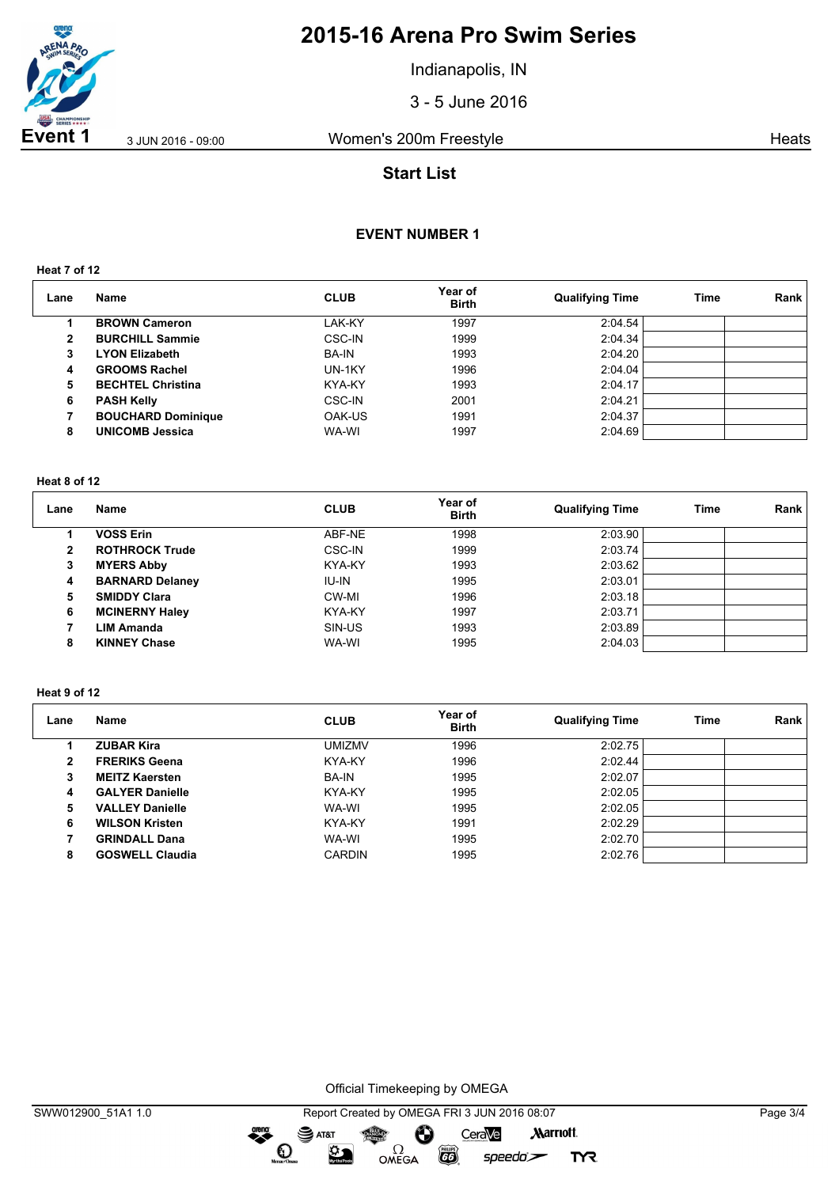

Indianapolis, IN

3 - 5 June 2016

**Event 1** 3 JUN 2016 - 09:00 Women's 200m Freestyle **State Agency** Heats

## **Start List**

## **EVENT NUMBER 1**

**Heat 7 of 12**

| Lane         | Name                      | <b>CLUB</b>  | Year of<br><b>Birth</b> | <b>Qualifying Time</b> | <b>Time</b> | Rank |
|--------------|---------------------------|--------------|-------------------------|------------------------|-------------|------|
|              | <b>BROWN Cameron</b>      | LAK-KY       | 1997                    | 2:04.54                |             |      |
| $\mathbf{2}$ | <b>BURCHILL Sammie</b>    | CSC-IN       | 1999                    | 2:04.34                |             |      |
| 3            | <b>LYON Elizabeth</b>     | <b>BA-IN</b> | 1993                    | 2:04.20                |             |      |
| 4            | <b>GROOMS Rachel</b>      | UN-1KY       | 1996                    | 2:04.04                |             |      |
| 5            | <b>BECHTEL Christina</b>  | KYA-KY       | 1993                    | 2:04.17                |             |      |
| 6            | <b>PASH Kelly</b>         | CSC-IN       | 2001                    | 2:04.21                |             |      |
|              | <b>BOUCHARD Dominique</b> | OAK-US       | 1991                    | 2:04.37                |             |      |
| 8            | <b>UNICOMB Jessica</b>    | WA-WI        | 1997                    | 2:04.69                |             |      |

#### **Heat 8 of 12**

| Lane | Name                   | <b>CLUB</b>   | Year of<br><b>Birth</b> | <b>Qualifying Time</b> | Time | Rank |
|------|------------------------|---------------|-------------------------|------------------------|------|------|
|      | <b>VOSS Erin</b>       | ABF-NE        | 1998                    | 2:03.90                |      |      |
| 2    | <b>ROTHROCK Trude</b>  | <b>CSC-IN</b> | 1999                    | 2:03.74                |      |      |
| 3    | <b>MYERS Abby</b>      | <b>KYA-KY</b> | 1993                    | 2:03.62                |      |      |
| 4    | <b>BARNARD Delaney</b> | IU-IN         | 1995                    | 2:03.01                |      |      |
| 5    | <b>SMIDDY Clara</b>    | CW-MI         | 1996                    | 2:03.18                |      |      |
| 6    | <b>MCINERNY Haley</b>  | KYA-KY        | 1997                    | 2:03.71                |      |      |
|      | <b>LIM Amanda</b>      | SIN-US        | 1993                    | 2:03.89                |      |      |
| 8    | <b>KINNEY Chase</b>    | WA-WI         | 1995                    | 2:04.03                |      |      |

### **Heat 9 of 12**

| Lane | Name                   | <b>CLUB</b>   | Year of<br><b>Birth</b> | <b>Qualifying Time</b> | Time | Rank |
|------|------------------------|---------------|-------------------------|------------------------|------|------|
|      | <b>ZUBAR Kira</b>      | <b>UMIZMV</b> | 1996                    | 2:02.75                |      |      |
| 2    | <b>FRERIKS Geena</b>   | KYA-KY        | 1996                    | 2:02.44                |      |      |
| 3    | <b>MEITZ Kaersten</b>  | <b>BA-IN</b>  | 1995                    | 2:02.07                |      |      |
| 4    | <b>GALYER Danielle</b> | KYA-KY        | 1995                    | 2:02.05                |      |      |
| 5    | <b>VALLEY Danielle</b> | WA-WI         | 1995                    | 2:02.05                |      |      |
| 6    | <b>WILSON Kristen</b>  | KYA-KY        | 1991                    | 2:02.29                |      |      |
|      | <b>GRINDALL Dana</b>   | WA-WI         | 1995                    | 2:02.70                |      |      |
| 8    | <b>GOSWELL Claudia</b> | <b>CARDIN</b> | 1995                    | 2:02.76                |      |      |

Official Timekeeping by OMEGA

dreng: